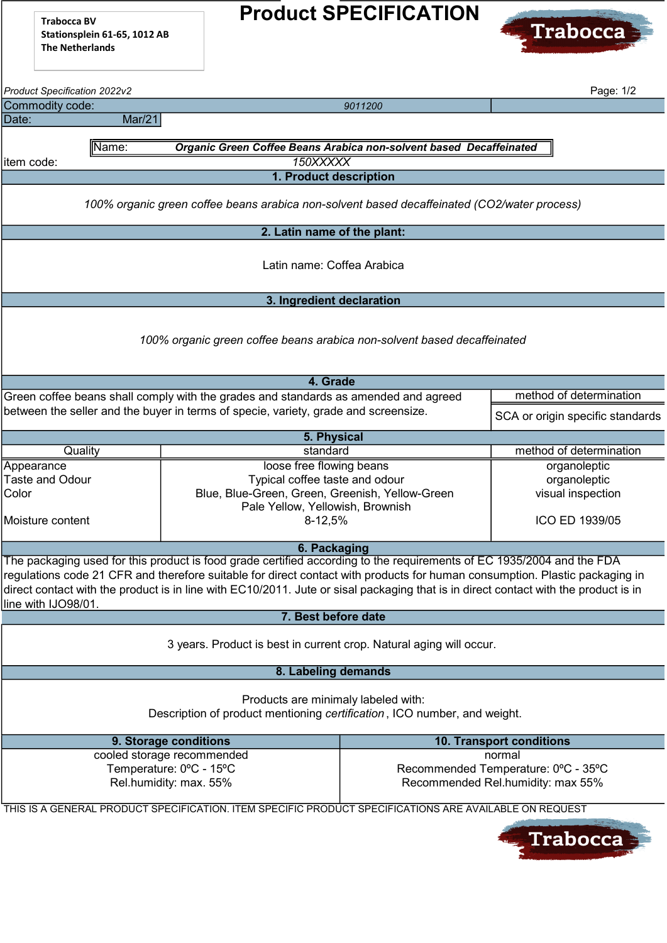Trabocca BV Stationsplein 61-65, 1012 AB The Netherlands

## Product SPECIFICATION



| Product Specification 2022v2                                                                           |                                                                              | Page: 1/2                                                                                                                           |                                     |                                  |  |  |  |  |  |  |
|--------------------------------------------------------------------------------------------------------|------------------------------------------------------------------------------|-------------------------------------------------------------------------------------------------------------------------------------|-------------------------------------|----------------------------------|--|--|--|--|--|--|
| Commodity code:                                                                                        |                                                                              |                                                                                                                                     | 9011200                             |                                  |  |  |  |  |  |  |
| Date:                                                                                                  | Mar/21                                                                       |                                                                                                                                     |                                     |                                  |  |  |  |  |  |  |
|                                                                                                        |                                                                              |                                                                                                                                     |                                     |                                  |  |  |  |  |  |  |
|                                                                                                        | Organic Green Coffee Beans Arabica non-solvent based Decaffeinated<br>∥Name: |                                                                                                                                     |                                     |                                  |  |  |  |  |  |  |
| item code:                                                                                             |                                                                              | 150XXXXX                                                                                                                            |                                     |                                  |  |  |  |  |  |  |
|                                                                                                        | 1. Product description                                                       |                                                                                                                                     |                                     |                                  |  |  |  |  |  |  |
|                                                                                                        |                                                                              |                                                                                                                                     |                                     |                                  |  |  |  |  |  |  |
| 100% organic green coffee beans arabica non-solvent based decaffeinated (CO2/water process)            |                                                                              |                                                                                                                                     |                                     |                                  |  |  |  |  |  |  |
| 2. Latin name of the plant:                                                                            |                                                                              |                                                                                                                                     |                                     |                                  |  |  |  |  |  |  |
|                                                                                                        |                                                                              |                                                                                                                                     |                                     |                                  |  |  |  |  |  |  |
|                                                                                                        |                                                                              | Latin name: Coffea Arabica                                                                                                          |                                     |                                  |  |  |  |  |  |  |
|                                                                                                        |                                                                              |                                                                                                                                     |                                     |                                  |  |  |  |  |  |  |
|                                                                                                        |                                                                              |                                                                                                                                     |                                     |                                  |  |  |  |  |  |  |
|                                                                                                        |                                                                              | 3. Ingredient declaration                                                                                                           |                                     |                                  |  |  |  |  |  |  |
|                                                                                                        |                                                                              |                                                                                                                                     |                                     |                                  |  |  |  |  |  |  |
| 100% organic green coffee beans arabica non-solvent based decaffeinated                                |                                                                              |                                                                                                                                     |                                     |                                  |  |  |  |  |  |  |
|                                                                                                        |                                                                              |                                                                                                                                     |                                     |                                  |  |  |  |  |  |  |
|                                                                                                        |                                                                              |                                                                                                                                     |                                     |                                  |  |  |  |  |  |  |
|                                                                                                        |                                                                              | 4. Grade                                                                                                                            |                                     |                                  |  |  |  |  |  |  |
|                                                                                                        |                                                                              | Green coffee beans shall comply with the grades and standards as amended and agreed                                                 |                                     | method of determination          |  |  |  |  |  |  |
|                                                                                                        |                                                                              | between the seller and the buyer in terms of specie, variety, grade and screensize.                                                 |                                     | SCA or origin specific standards |  |  |  |  |  |  |
| 5. Physical                                                                                            |                                                                              |                                                                                                                                     |                                     |                                  |  |  |  |  |  |  |
| Quality                                                                                                |                                                                              | standard                                                                                                                            |                                     | method of determination          |  |  |  |  |  |  |
| Appearance                                                                                             |                                                                              | loose free flowing beans                                                                                                            |                                     | organoleptic                     |  |  |  |  |  |  |
| <b>Taste and Odour</b>                                                                                 |                                                                              | Typical coffee taste and odour                                                                                                      |                                     | organoleptic                     |  |  |  |  |  |  |
| Color                                                                                                  |                                                                              | Blue, Blue-Green, Green, Greenish, Yellow-Green                                                                                     |                                     | visual inspection                |  |  |  |  |  |  |
|                                                                                                        |                                                                              | Pale Yellow, Yellowish, Brownish                                                                                                    |                                     |                                  |  |  |  |  |  |  |
| Moisture content                                                                                       |                                                                              | 8-12,5%                                                                                                                             |                                     | ICO ED 1939/05                   |  |  |  |  |  |  |
|                                                                                                        |                                                                              |                                                                                                                                     |                                     |                                  |  |  |  |  |  |  |
|                                                                                                        |                                                                              | 6. Packaging                                                                                                                        |                                     |                                  |  |  |  |  |  |  |
|                                                                                                        |                                                                              | The packaging used for this product is food grade certified according to the requirements of EC 1935/2004 and the FDA               |                                     |                                  |  |  |  |  |  |  |
|                                                                                                        |                                                                              | regulations code 21 CFR and therefore suitable for direct contact with products for human consumption. Plastic packaging in         |                                     |                                  |  |  |  |  |  |  |
|                                                                                                        |                                                                              | direct contact with the product is in line with EC10/2011. Jute or sisal packaging that is in direct contact with the product is in |                                     |                                  |  |  |  |  |  |  |
| line with IJO98/01.                                                                                    |                                                                              |                                                                                                                                     |                                     |                                  |  |  |  |  |  |  |
|                                                                                                        |                                                                              | 7. Best before date                                                                                                                 |                                     |                                  |  |  |  |  |  |  |
|                                                                                                        |                                                                              |                                                                                                                                     |                                     |                                  |  |  |  |  |  |  |
| 3 years. Product is best in current crop. Natural aging will occur.                                    |                                                                              |                                                                                                                                     |                                     |                                  |  |  |  |  |  |  |
| 8. Labeling demands                                                                                    |                                                                              |                                                                                                                                     |                                     |                                  |  |  |  |  |  |  |
|                                                                                                        |                                                                              |                                                                                                                                     |                                     |                                  |  |  |  |  |  |  |
|                                                                                                        |                                                                              | Products are minimaly labeled with:                                                                                                 |                                     |                                  |  |  |  |  |  |  |
| Description of product mentioning certification, ICO number, and weight.                               |                                                                              |                                                                                                                                     |                                     |                                  |  |  |  |  |  |  |
|                                                                                                        |                                                                              |                                                                                                                                     |                                     |                                  |  |  |  |  |  |  |
|                                                                                                        |                                                                              | 9. Storage conditions                                                                                                               | <b>10. Transport conditions</b>     |                                  |  |  |  |  |  |  |
| cooled storage recommended<br>normal                                                                   |                                                                              |                                                                                                                                     |                                     |                                  |  |  |  |  |  |  |
|                                                                                                        |                                                                              | Temperature: 0°C - 15°C                                                                                                             | Recommended Temperature: 0°C - 35°C |                                  |  |  |  |  |  |  |
|                                                                                                        |                                                                              | Rel.humidity: max. 55%                                                                                                              | Recommended Rel.humidity: max 55%   |                                  |  |  |  |  |  |  |
|                                                                                                        |                                                                              |                                                                                                                                     |                                     |                                  |  |  |  |  |  |  |
| THIS IS A GENERAL PRODUCT SPECIFICATION. ITEM SPECIFIC PRODUCT SPECIFICATIONS ARE AVAILABLE ON REQUEST |                                                                              |                                                                                                                                     |                                     |                                  |  |  |  |  |  |  |